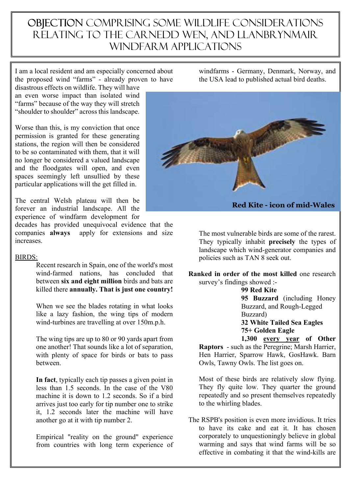## OBJECTION COMPRISING SOME WILDLIFE CONSIDERATIONS relating to the carnedd wen, and llanbrynmair windfarm applications

I am a local resident and am especially concerned about the proposed wind "farms" - already proven to have disastrous effects on wildlife. They will have

an even worse impact than isolated wind "farms" because of the way they will stretch "shoulder to shoulder" across this landscape.

Worse than this, is my conviction that once permission is granted for these generating stations, the region will then be considered to be so contaminated with them, that it will no longer be considered a valued landscape and the floodgates will open, and even spaces seemingly left unsullied by these particular applications will the get filled in.

The central Welsh plateau will then be forever an industrial landscape. All the experience of windfarm development for

decades has provided unequivocal evidence that the companies **always** apply for extensions and size increases.

## BIRDS:

Recent research in Spain, one of the world's most wind-farmed nations, has concluded that between **six and eight million** birds and bats are killed there **annually. That is just one country!**

 When we see the blades rotating in what looks like a lazy fashion, the wing tips of modern wind-turbines are travelling at over 150m.p.h.

 The wing tips are up to 80 or 90 yards apart from one another! That sounds like a lot of separation, with plenty of space for birds or bats to pass between.

 **In fact**, typically each tip passes a given point in less than 1.5 seconds. In the case of the V80 machine it is down to 1.2 seconds. So if a bird arrives just too early for tip number one to strike it, 1.2 seconds later the machine will have another go at it with tip number 2.

 Empirical "reality on the ground" experience from countries with long term experience of windfarms - Germany, Denmark, Norway, and the USA lead to published actual bird deaths.



**Red Kite - icon of mid-Wales**

 The most vulnerable birds are some of the rarest. They typically inhabit **precisely** the types of landscape which wind-generator companies and policies such as TAN 8 seek out.

**Ranked in order of the most killed** one research survey's findings showed :-

> **99 Red Kite 95 Buzzard** (including Honey Buzzard, and Rough-Legged Buzzard) **32 White Tailed Sea Eagles**

 **75+ Golden Eagle**

 **1,300 every year of Other Raptors** - such as the Peregrine; Marsh Harrier, Hen Harrier, Sparrow Hawk, GosHawk. Barn Owls, Tawny Owls. The list goes on.

Most of these birds are relatively slow flying. They fly quite low. They quarter the ground repeatedly and so present themselves repeatedly to the whirling blades.

The RSPB's position is even more invidious. It tries to have its cake and eat it. It has chosen corporately to unquestioningly believe in global warming and says that wind farms will be so effective in combating it that the wind-kills are